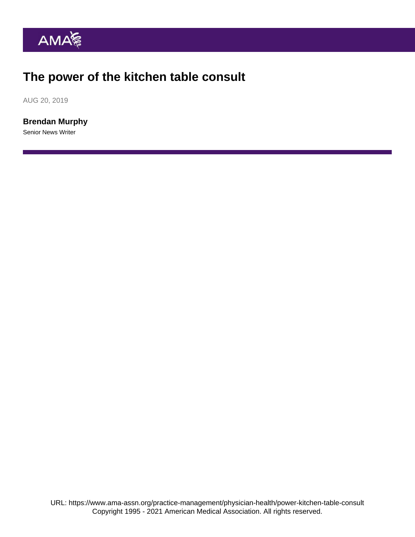# The power of the kitchen table consult

AUG 20, 2019

[Brendan Murphy](https://www.ama-assn.org/news-leadership-viewpoints/authors-news-leadership-viewpoints/brendan-murphy) Senior News Writer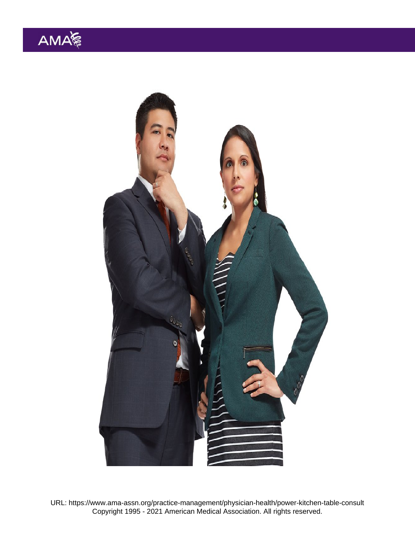URL:<https://www.ama-assn.org/practice-management/physician-health/power-kitchen-table-consult> Copyright 1995 - 2021 American Medical Association. All rights reserved.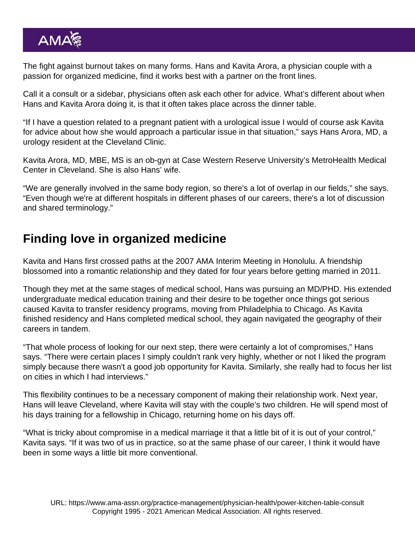The fight against burnout takes on many forms. Hans and Kavita Arora, a physician couple with a passion for organized medicine, find it works best with a partner on the front lines.

Call it a consult or a sidebar, physicians often ask each other for advice. What's different about when Hans and Kavita Arora doing it, is that it often takes place across the dinner table.

"If I have a question related to a pregnant patient with a urological issue I would of course ask Kavita for advice about how she would approach a particular issue in that situation," says Hans Arora, MD, a urology resident at the Cleveland Clinic.

Kavita Arora, MD, MBE, MS is an ob-gyn at Case Western Reserve University's MetroHealth Medical Center in Cleveland. She is also Hans' wife.

"We are generally involved in the same body region, so there's a lot of overlap in our fields," she says. "Even though we're at different hospitals in different phases of our careers, there's a lot of discussion and shared terminology."

## Finding love in organized medicine

Kavita and Hans first crossed paths at the 2007 AMA Interim Meeting in Honolulu. A friendship blossomed into a romantic relationship and they dated for four years before getting married in 2011.

Though they met at the same stages of medical school, Hans was pursuing an MD/PHD. His extended undergraduate medical education training and their desire to be together once things got serious caused Kavita to transfer residency programs, moving from Philadelphia to Chicago. As Kavita finished residency and Hans completed medical school, they again navigated the geography of their careers in tandem.

"That whole process of looking for our next step, there were certainly a lot of compromises," Hans says. "There were certain places I simply couldn't rank very highly, whether or not I liked the program simply because there wasn't a good job opportunity for Kavita. Similarly, she really had to focus her list on cities in which I had interviews."

This flexibility continues to be a necessary component of making their relationship work. Next year, Hans will leave Cleveland, where Kavita will stay with the couple's two children. He will spend most of his days training for a fellowship in Chicago, returning home on his days off.

"What is tricky about compromise in a medical marriage it that a little bit of it is out of your control," Kavita says. "If it was two of us in practice, so at the same phase of our career, I think it would have been in some ways a little bit more conventional.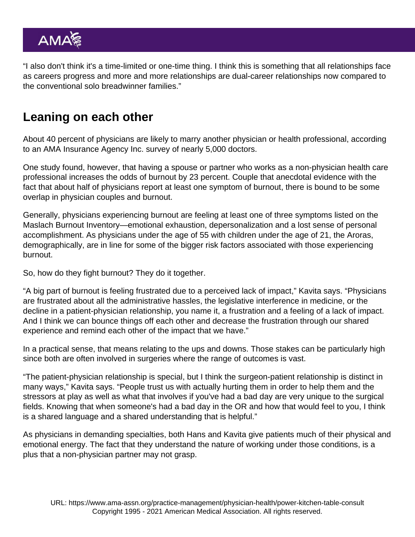"I also don't think it's a time-limited or one-time thing. I think this is something that all relationships face as careers progress and more and more relationships are dual-career relationships now compared to the conventional solo breadwinner families."

## Leaning on each other

About 40 percent of physicians are likely to marry another physician or health professional, according to an AMA Insurance Agency Inc. survey of nearly 5,000 doctors.

One [study](https://www.ama-assn.org/sites/ama-assn.org/files/corp/media-browser/public/ipp/i17-ipps-lotte-dyrbye-burnout-among-health-care-professionals.pdf) found, however, that having a spouse or partner who works as a non-physician health care professional increases the odds of burnout by 23 percent. Couple that anecdotal evidence with the fact that about half of physicians report at least one symptom of burnout, there is bound to be some overlap in physician couples and burnout.

Generally, physicians experiencing burnout are feeling at least one of three symptoms listed on the Maslach Burnout Inventory—emotional exhaustion, depersonalization and a lost sense of personal accomplishment. As physicians under the age of 55 with children under the age of 21, the Aroras, demographically, are in line for some of the bigger risk factors associated with those experiencing burnout.

So, how do they fight burnout? They do it together.

"A big part of burnout is feeling frustrated due to a perceived lack of impact," Kavita says. "Physicians are frustrated about all the administrative hassles, the legislative interference in medicine, or the decline in a patient-physician relationship, you name it, a frustration and a feeling of a lack of impact. And I think we can bounce things off each other and decrease the frustration through our shared experience and remind each other of the impact that we have."

In a practical sense, that means relating to the ups and downs. Those stakes can be particularly high since both are often involved in surgeries where the range of outcomes is vast.

"The patient-physician relationship is special, but I think the surgeon-patient relationship is distinct in many ways," Kavita says. "People trust us with actually hurting them in order to help them and the stressors at play as well as what that involves if you've had a bad day are very unique to the surgical fields. Knowing that when someone's had a bad day in the OR and how that would feel to you, I think is a shared language and a shared understanding that is helpful."

As physicians in demanding specialties, both Hans and Kavita give patients much of their physical and emotional energy. The fact that they understand the nature of working under those conditions, is a plus that a non-physician partner may not grasp.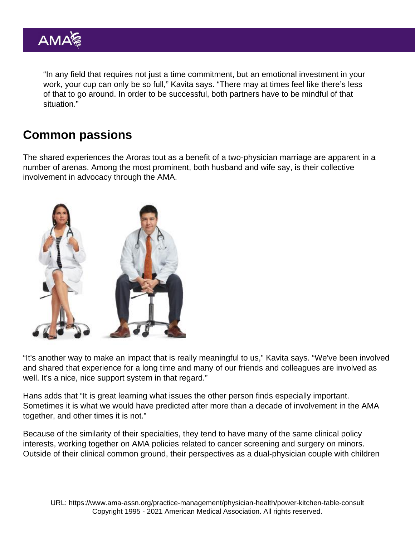"In any field that requires not just a time commitment, but an emotional investment in your work, your cup can only be so full," Kavita says. "There may at times feel like there's less of that to go around. In order to be successful, both partners have to be mindful of that situation."

## Common passions

The shared experiences the Aroras tout as a benefit of a two-physician marriage are apparent in a number of arenas. Among the most prominent, both husband and wife say, is their collective involvement in advocacy through the AMA.

"It's another way to make an impact that is really meaningful to us," Kavita says. "We've been involved and shared that experience for a long time and many of our friends and colleagues are involved as well. It's a nice, nice support system in that regard."

Hans adds that "It is great learning what issues the other person finds especially important. Sometimes it is what we would have predicted after more than a decade of involvement in the AMA together, and other times it is not."

Because of the similarity of their specialties, they tend to have many of the same clinical policy interests, working together on AMA policies related to cancer screening and surgery on minors. Outside of their clinical common ground, their perspectives as a dual-physician couple with children